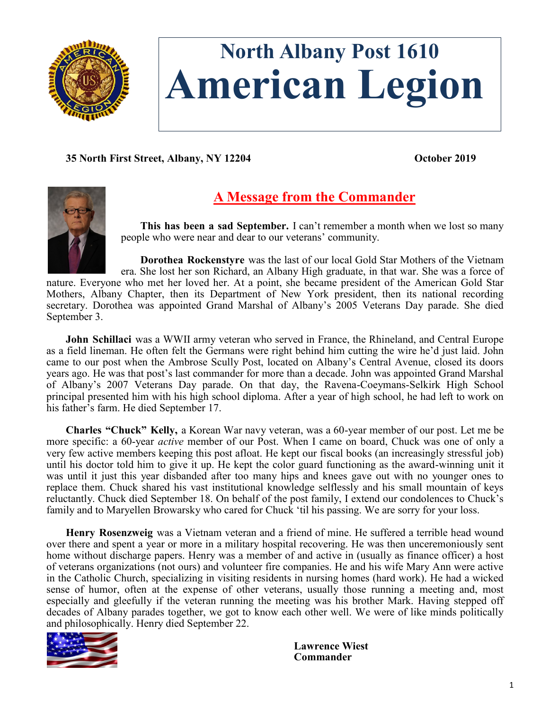

# **North Albany Post 1610 American Legion**

**35 North First Street, Albany, NY 12204 October 2019**



# **A Message from the Commander**

**This has been a sad September.** I can't remember a month when we lost so many people who were near and dear to our veterans' community.

**Dorothea Rockenstyre** was the last of our local Gold Star Mothers of the Vietnam

era. She lost her son Richard, an Albany High graduate, in that war. She was a force of nature. Everyone who met her loved her. At a point, she became president of the American Gold Star Mothers, Albany Chapter, then its Department of New York president, then its national recording secretary. Dorothea was appointed Grand Marshal of Albany's 2005 Veterans Day parade. She died September 3.

**John Schillaci** was a WWII army veteran who served in France, the Rhineland, and Central Europe as a field lineman. He often felt the Germans were right behind him cutting the wire he'd just laid. John came to our post when the Ambrose Scully Post, located on Albany's Central Avenue, closed its doors years ago. He was that post's last commander for more than a decade. John was appointed Grand Marshal of Albany's 2007 Veterans Day parade. On that day, the Ravena-Coeymans-Selkirk High School principal presented him with his high school diploma. After a year of high school, he had left to work on his father's farm. He died September 17.

**Charles "Chuck" Kelly,** a Korean War navy veteran, was a 60-year member of our post. Let me be more specific: a 60-year *active* member of our Post. When I came on board, Chuck was one of only a very few active members keeping this post afloat. He kept our fiscal books (an increasingly stressful job) until his doctor told him to give it up. He kept the color guard functioning as the award-winning unit it was until it just this year disbanded after too many hips and knees gave out with no younger ones to replace them. Chuck shared his vast institutional knowledge selflessly and his small mountain of keys reluctantly. Chuck died September 18. On behalf of the post family, I extend our condolences to Chuck's family and to Maryellen Browarsky who cared for Chuck 'til his passing. We are sorry for your loss.

**Henry Rosenzweig** was a Vietnam veteran and a friend of mine. He suffered a terrible head wound over there and spent a year or more in a military hospital recovering. He was then unceremoniously sent home without discharge papers. Henry was a member of and active in (usually as finance officer) a host of veterans organizations (not ours) and volunteer fire companies. He and his wife Mary Ann were active in the Catholic Church, specializing in visiting residents in nursing homes (hard work). He had a wicked sense of humor, often at the expense of other veterans, usually those running a meeting and, most especially and gleefully if the veteran running the meeting was his brother Mark. Having stepped off decades of Albany parades together, we got to know each other well. We were of like minds politically and philosophically. Henry died September 22.



**Lawrence Wiest Commander**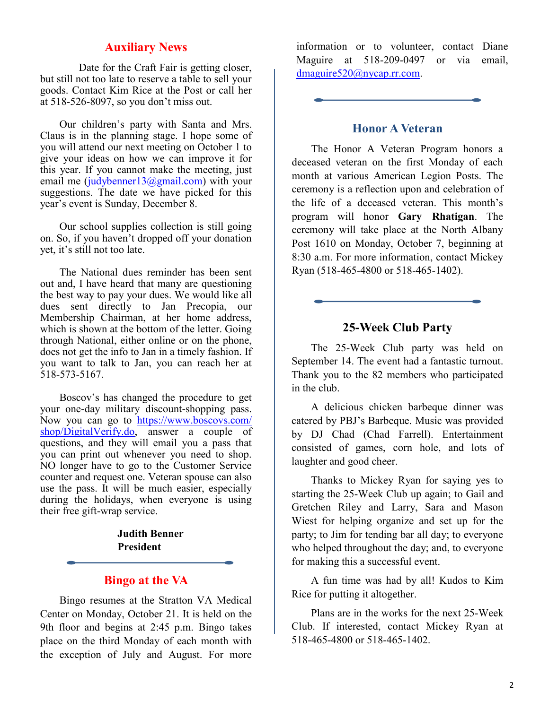# **Auxiliary News**

Date for the Craft Fair is getting closer, but still not too late to reserve a table to sell your goods. Contact Kim Rice at the Post or call her at 518-526-8097, so you don't miss out.

Our children's party with Santa and Mrs. Claus is in the planning stage. I hope some of you will attend our next meeting on October 1 to give your ideas on how we can improve it for this year. If you cannot make the meeting, just email me ([judybenner13@gmail.com\)](mailto:judybenner13@gmail.com) with your suggestions. The date we have picked for this year's event is Sunday, December 8.

Our school supplies collection is still going on. So, if you haven't dropped off your donation yet, it's still not too late.

The National dues reminder has been sent out and, I have heard that many are questioning the best way to pay your dues. We would like all dues sent directly to Jan Precopia, our Membership Chairman, at her home address, which is shown at the bottom of the letter. Going through National, either online or on the phone, does not get the info to Jan in a timely fashion. If you want to talk to Jan, you can reach her at 518-573-5167.

Boscov's has changed the procedure to get your one-day military discount-shopping pass. Now you can go to [https://www.boscovs.com/](https://www.boscovs.com/shop/DigitalVerify.do) [shop/DigitalVerify.do,](https://www.boscovs.com/shop/DigitalVerify.do) answer a couple of questions, and they will email you a pass that you can print out whenever you need to shop. NO longer have to go to the Customer Service counter and request one. Veteran spouse can also use the pass. It will be much easier, especially during the holidays, when everyone is using their free gift-wrap service.

> **Judith Benner President**

# **Bingo at the VA**

Bingo resumes at the Stratton VA Medical Center on Monday, October 21. It is held on the 9th floor and begins at 2:45 p.m. Bingo takes place on the third Monday of each month with the exception of July and August. For more information or to volunteer, contact Diane Maguire at 518-209-0497 or via email, [dmaguire520@nycap.rr.com.](mailto:dmaguire520@nycap.rr.com)

# **Honor A Veteran**

The Honor A Veteran Program honors a deceased veteran on the first Monday of each month at various American Legion Posts. The ceremony is a reflection upon and celebration of the life of a deceased veteran. This month's program will honor **Gary Rhatigan**. The ceremony will take place at the North Albany Post 1610 on Monday, October 7, beginning at 8:30 a.m. For more information, contact Mickey Ryan (518-465-4800 or 518-465-1402).

# **25-Week Club Party**

The 25-Week Club party was held on September 14. The event had a fantastic turnout. Thank you to the 82 members who participated in the club.

A delicious chicken barbeque dinner was catered by PBJ's Barbeque. Music was provided by DJ Chad (Chad Farrell). Entertainment consisted of games, corn hole, and lots of laughter and good cheer.

Thanks to Mickey Ryan for saying yes to starting the 25-Week Club up again; to Gail and Gretchen Riley and Larry, Sara and Mason Wiest for helping organize and set up for the party; to Jim for tending bar all day; to everyone who helped throughout the day; and, to everyone for making this a successful event.

A fun time was had by all! Kudos to Kim Rice for putting it altogether.

Plans are in the works for the next 25-Week Club. If interested, contact Mickey Ryan at 518-465-4800 or 518-465-1402.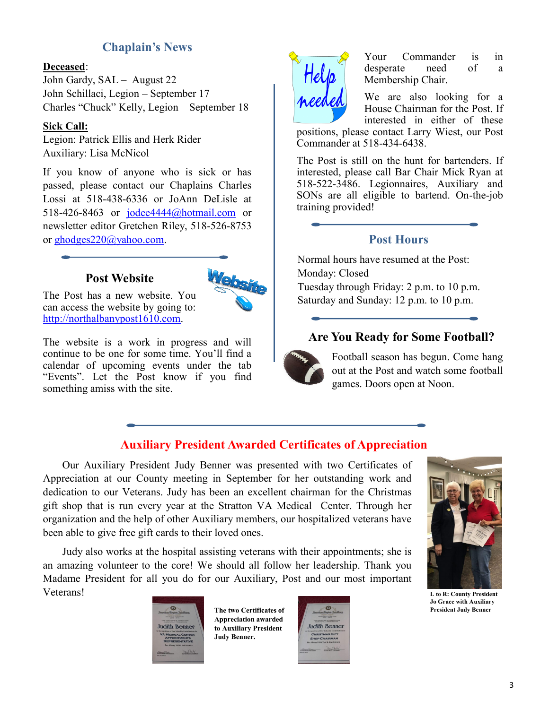# **Chaplain's News**

## **Deceased**:

John Gardy, SAL – August 22 John Schillaci, Legion – September 17 Charles "Chuck" Kelly, Legion – September 18

#### **Sick Call:**

Legion: Patrick Ellis and Herk Rider Auxiliary: Lisa McNicol

If you know of anyone who is sick or has passed, please contact our Chaplains Charles Lossi at 518-438-6336 or JoAnn DeLisle at 518-426-8463 or [jodee4444@hotmail.com](mailto:jodee4444@hotmail.com) or newsletter editor Gretchen Riley, 518-526-8753 or [ghodges220@yahoo.com.](mailto:ghodges220@yahoo.com)

# **Post Website**



The Post has a new website. You can access the website by going to: [http://northalbanypost1610.com.](http://northalbanypost1610.com)

The website is a work in progress and will continue to be one for some time. You'll find a calendar of upcoming events under the tab "Events". Let the Post know if you find something amiss with the site.



Your Commander is in desperate need of a Membership Chair.

We are also looking for a House Chairman for the Post. If interested in either of these

positions, please contact Larry Wiest, our Post Commander at 518-434-6438.

The Post is still on the hunt for bartenders. If interested, please call Bar Chair Mick Ryan at 518-522-3486. Legionnaires, Auxiliary and SONs are all eligible to bartend. On-the-job training provided!

# **Post Hours**

Normal hours have resumed at the Post: Monday: Closed Tuesday through Friday: 2 p.m. to 10 p.m. Saturday and Sunday: 12 p.m. to 10 p.m.

# **Are You Ready for Some Football?**



Football season has begun. Come hang out at the Post and watch some football games. Doors open at Noon.

# **Auxiliary President Awarded Certificates of Appreciation**

Our Auxiliary President Judy Benner was presented with two Certificates of Appreciation at our County meeting in September for her outstanding work and dedication to our Veterans. Judy has been an excellent chairman for the Christmas gift shop that is run every year at the Stratton VA Medical Center. Through her organization and the help of other Auxiliary members, our hospitalized veterans have been able to give free gift cards to their loved ones.

Judy also works at the hospital assisting veterans with their appointments; she is an amazing volunteer to the core! We should all follow her leadership. Thank you Madame President for all you do for our Auxiliary, Post and our most important Veterans! **L to R: County President** 

udith Benner









**Jo Grace with Auxiliary**